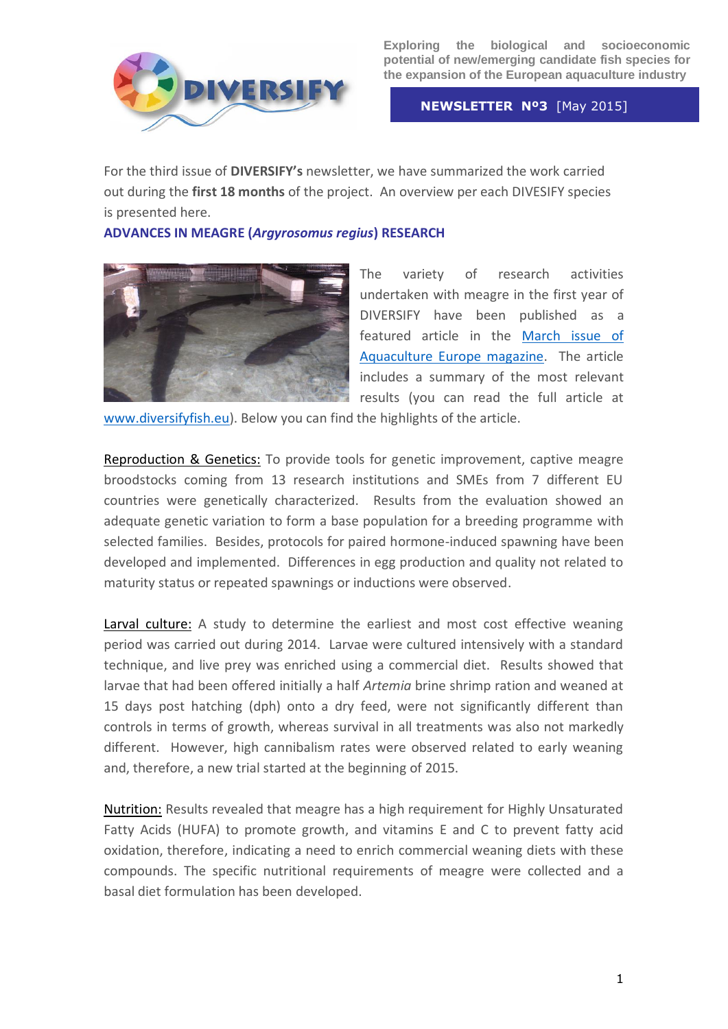

 **NEWSLETTER Nº3** [May 2015]

For the third issue of **DIVERSIFY's** newsletter, we have summarized the work carried out during the **first 18 months** of the project. An overview per each DIVESIFY species is presented here.

**ADVANCES IN MEAGRE (***Argyrosomus regius***) RESEARCH**



The variety of research activities undertaken with meagre in the first year of DIVERSIFY have been published as a featured article in the [March issue of](https://www.scribd.com/fullscreen/258953571?access_key=key-dZVM7dhlhjhJiU8OePkM&allow_share=false&escape=false&show_recommendations=false&view_mode=scroll)  [Aquaculture Europe magazine.](https://www.scribd.com/fullscreen/258953571?access_key=key-dZVM7dhlhjhJiU8OePkM&allow_share=false&escape=false&show_recommendations=false&view_mode=scroll) The article includes a summary of the most relevant results (you can read the full article at

[www.diversifyfish.eu\)](http://www.diversifyfish.eu/). Below you can find the highlights of the article.

Reproduction & Genetics: To provide tools for genetic improvement, captive meagre broodstocks coming from 13 research institutions and SMEs from 7 different EU countries were genetically characterized. Results from the evaluation showed an adequate genetic variation to form a base population for a breeding programme with selected families. Besides, protocols for paired hormone-induced spawning have been developed and implemented. Differences in egg production and quality not related to maturity status or repeated spawnings or inductions were observed.

Larval culture: A study to determine the earliest and most cost effective weaning period was carried out during 2014. Larvae were cultured intensively with a standard technique, and live prey was enriched using a commercial diet. Results showed that larvae that had been offered initially a half *Artemia* brine shrimp ration and weaned at 15 days post hatching (dph) onto a dry feed, were not significantly different than controls in terms of growth, whereas survival in all treatments was also not markedly different. However, high cannibalism rates were observed related to early weaning and, therefore, a new trial started at the beginning of 2015.

Nutrition: Results revealed that meagre has a high requirement for Highly Unsaturated Fatty Acids (HUFA) to promote growth, and vitamins E and C to prevent fatty acid oxidation, therefore, indicating a need to enrich commercial weaning diets with these compounds. The specific nutritional requirements of meagre were collected and a basal diet formulation has been developed.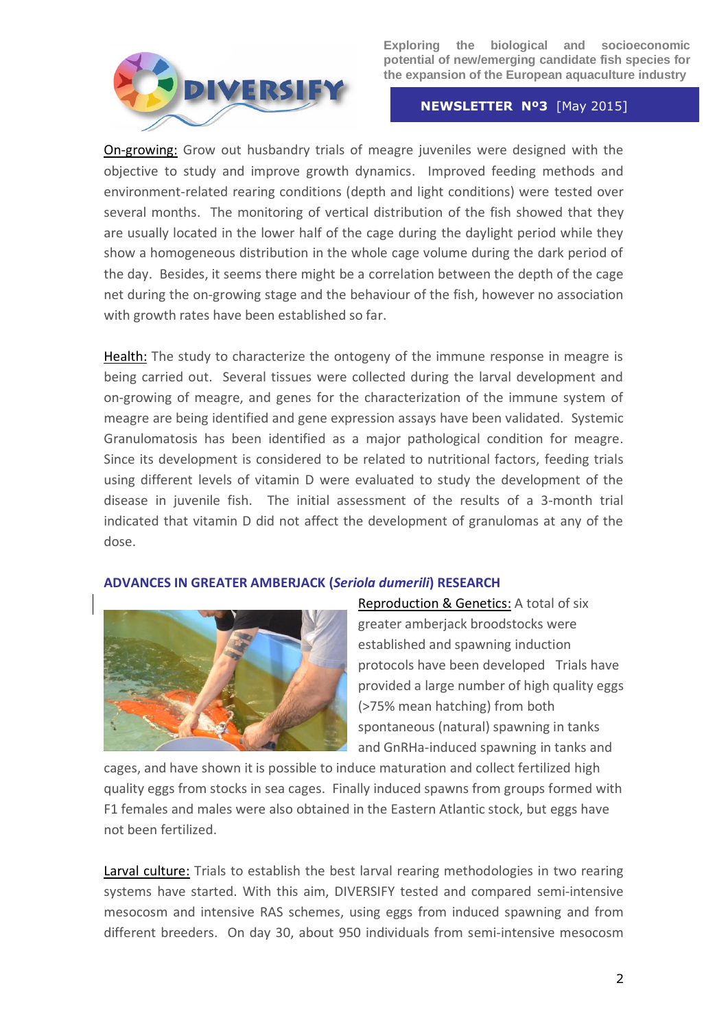

#### **NEWSLETTER Nº3** [May 2015]

On-growing: Grow out husbandry trials of meagre juveniles were designed with the objective to study and improve growth dynamics. Improved feeding methods and environment-related rearing conditions (depth and light conditions) were tested over several months. The monitoring of vertical distribution of the fish showed that they are usually located in the lower half of the cage during the daylight period while they show a homogeneous distribution in the whole cage volume during the dark period of the day. Besides, it seems there might be a correlation between the depth of the cage net during the on-growing stage and the behaviour of the fish, however no association with growth rates have been established so far.

Health: The study to characterize the ontogeny of the immune response in meagre is being carried out. Several tissues were collected during the larval development and on-growing of meagre, and genes for the characterization of the immune system of meagre are being identified and gene expression assays have been validated. Systemic Granulomatosis has been identified as a major pathological condition for meagre. Since its development is considered to be related to nutritional factors, feeding trials using different levels of vitamin D were evaluated to study the development of the disease in juvenile fish. The initial assessment of the results of a 3-month trial indicated that vitamin D did not affect the development of granulomas at any of the dose.

## **ADVANCES IN GREATER AMBERJACK (***Seriola dumerili***) RESEARCH**



Reproduction & Genetics: A total of six greater amberjack broodstocks were established and spawning induction protocols have been developed Trials have provided a large number of high quality eggs (>75% mean hatching) from both spontaneous (natural) spawning in tanks and GnRHa-induced spawning in tanks and

cages, and have shown it is possible to induce maturation and collect fertilized high quality eggs from stocks in sea cages. Finally induced spawns from groups formed with F1 females and males were also obtained in the Eastern Atlantic stock, but eggs have not been fertilized.

Larval culture: Trials to establish the best larval rearing methodologies in two rearing systems have started. With this aim, DIVERSIFY tested and compared semi-intensive mesocosm and intensive RAS schemes, using eggs from induced spawning and from different breeders. On day 30, about 950 individuals from semi-intensive mesocosm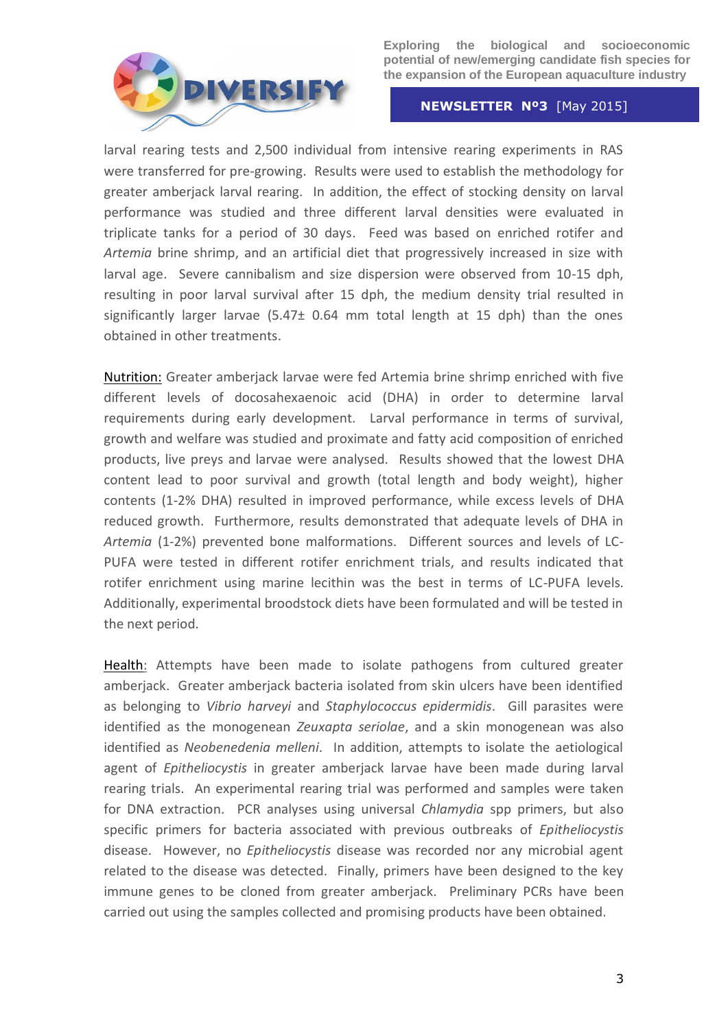

### **NEWSLETTER Nº3** [May 2015]

larval rearing tests and 2,500 individual from intensive rearing experiments in RAS were transferred for pre-growing. Results were used to establish the methodology for greater amberjack larval rearing. In addition, the effect of stocking density on larval performance was studied and three different larval densities were evaluated in triplicate tanks for a period of 30 days. Feed was based on enriched rotifer and *Artemia* brine shrimp, and an artificial diet that progressively increased in size with larval age. Severe cannibalism and size dispersion were observed from 10-15 dph, resulting in poor larval survival after 15 dph, the medium density trial resulted in significantly larger larvae  $(5.47<sub>±</sub> 0.64$  mm total length at 15 dph) than the ones obtained in other treatments.

Nutrition: Greater amberjack larvae were fed Artemia brine shrimp enriched with five different levels of docosahexaenoic acid (DHA) in order to determine larval requirements during early development. Larval performance in terms of survival, growth and welfare was studied and proximate and fatty acid composition of enriched products, live preys and larvae were analysed. Results showed that the lowest DHA content lead to poor survival and growth (total length and body weight), higher contents (1-2% DHA) resulted in improved performance, while excess levels of DHA reduced growth. Furthermore, results demonstrated that adequate levels of DHA in *Artemia* (1-2%) prevented bone malformations. Different sources and levels of LC-PUFA were tested in different rotifer enrichment trials, and results indicated that rotifer enrichment using marine lecithin was the best in terms of LC-PUFA levels. Additionally, experimental broodstock diets have been formulated and will be tested in the next period.

Health: Attempts have been made to isolate pathogens from cultured greater amberjack. Greater amberjack bacteria isolated from skin ulcers have been identified as belonging to *Vibrio harveyi* and *Staphylococcus epidermidis*. Gill parasites were identified as the monogenean *Zeuxapta seriolae*, and a skin monogenean was also identified as *Neobenedenia melleni*. In addition, attempts to isolate the aetiological agent of *Epitheliocystis* in greater amberjack larvae have been made during larval rearing trials. An experimental rearing trial was performed and samples were taken for DNA extraction. PCR analyses using universal *Chlamydia* spp primers, but also specific primers for bacteria associated with previous outbreaks of *Epitheliocystis* disease. However, no *Epitheliocystis* disease was recorded nor any microbial agent related to the disease was detected. Finally, primers have been designed to the key immune genes to be cloned from greater amberjack. Preliminary PCRs have been carried out using the samples collected and promising products have been obtained.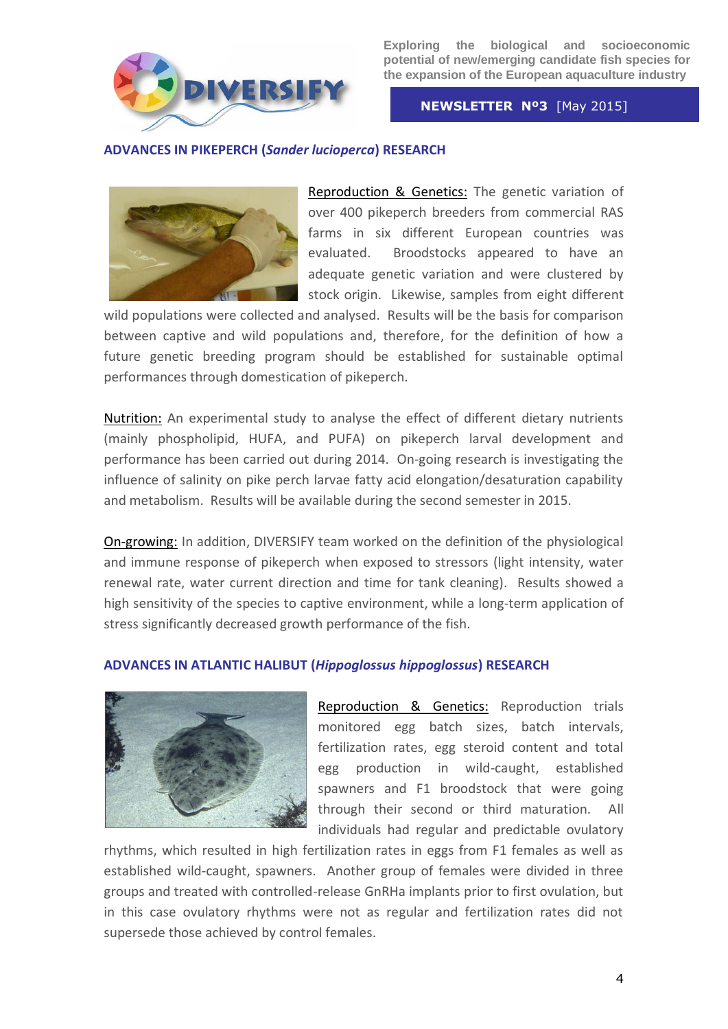

 **NEWSLETTER Nº3** [May 2015]

# **ADVANCES IN PIKEPERCH (***Sander lucioperca***) RESEARCH**



Reproduction & Genetics: The genetic variation of over 400 pikeperch breeders from commercial RAS farms in six different European countries was evaluated. Broodstocks appeared to have an adequate genetic variation and were clustered by stock origin. Likewise, samples from eight different

wild populations were collected and analysed. Results will be the basis for comparison between captive and wild populations and, therefore, for the definition of how a future genetic breeding program should be established for sustainable optimal performances through domestication of pikeperch.

Nutrition: An experimental study to analyse the effect of different dietary nutrients (mainly phospholipid, HUFA, and PUFA) on pikeperch larval development and performance has been carried out during 2014. On-going research is investigating the influence of salinity on pike perch larvae fatty acid elongation/desaturation capability and metabolism. Results will be available during the second semester in 2015.

On-growing: In addition, DIVERSIFY team worked on the definition of the physiological and immune response of pikeperch when exposed to stressors (light intensity, water renewal rate, water current direction and time for tank cleaning). Results showed a high sensitivity of the species to captive environment, while a long-term application of stress significantly decreased growth performance of the fish.

## **ADVANCES IN ATLANTIC HALIBUT (***Hippoglossus hippoglossus***) RESEARCH**



Reproduction & Genetics: Reproduction trials monitored egg batch sizes, batch intervals, fertilization rates, egg steroid content and total egg production in wild-caught, established spawners and F1 broodstock that were going through their second or third maturation. All individuals had regular and predictable ovulatory

rhythms, which resulted in high fertilization rates in eggs from F1 females as well as established wild-caught, spawners. Another group of females were divided in three groups and treated with controlled-release GnRHa implants prior to first ovulation, but in this case ovulatory rhythms were not as regular and fertilization rates did not supersede those achieved by control females.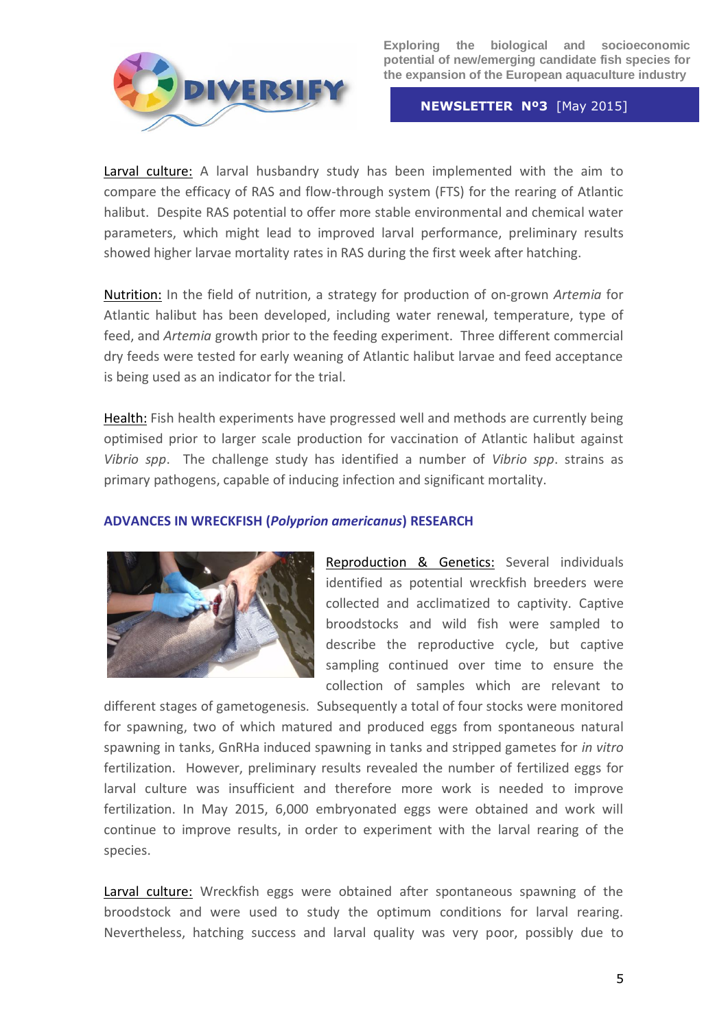

 **NEWSLETTER Nº3** [May 2015]

Larval culture: A larval husbandry study has been implemented with the aim to compare the efficacy of RAS and flow-through system (FTS) for the rearing of Atlantic halibut. Despite RAS potential to offer more stable environmental and chemical water parameters, which might lead to improved larval performance, preliminary results showed higher larvae mortality rates in RAS during the first week after hatching.

Nutrition: In the field of nutrition, a strategy for production of on-grown *Artemia* for Atlantic halibut has been developed, including water renewal, temperature, type of feed, and *Artemia* growth prior to the feeding experiment. Three different commercial dry feeds were tested for early weaning of Atlantic halibut larvae and feed acceptance is being used as an indicator for the trial.

Health: Fish health experiments have progressed well and methods are currently being optimised prior to larger scale production for vaccination of Atlantic halibut against *Vibrio spp*. The challenge study has identified a number of *Vibrio spp*. strains as primary pathogens, capable of inducing infection and significant mortality.

# **ADVANCES IN WRECKFISH (***Polyprion americanus***) RESEARCH**



Reproduction & Genetics: Several individuals identified as potential wreckfish breeders were collected and acclimatized to captivity. Captive broodstocks and wild fish were sampled to describe the reproductive cycle, but captive sampling continued over time to ensure the collection of samples which are relevant to

different stages of gametogenesis. Subsequently a total of four stocks were monitored for spawning, two of which matured and produced eggs from spontaneous natural spawning in tanks, GnRHa induced spawning in tanks and stripped gametes for *in vitro* fertilization. However, preliminary results revealed the number of fertilized eggs for larval culture was insufficient and therefore more work is needed to improve fertilization. In May 2015, 6,000 embryonated eggs were obtained and work will continue to improve results, in order to experiment with the larval rearing of the species.

Larval culture: Wreckfish eggs were obtained after spontaneous spawning of the broodstock and were used to study the optimum conditions for larval rearing. Nevertheless, hatching success and larval quality was very poor, possibly due to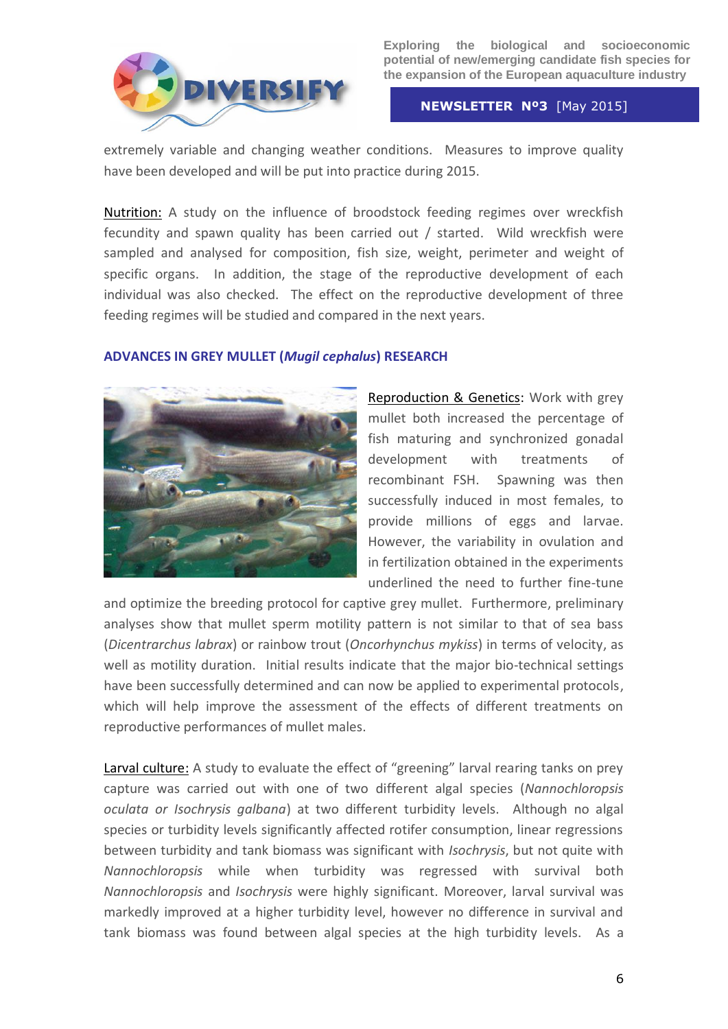

 **NEWSLETTER Nº3** [May 2015]

extremely variable and changing weather conditions. Measures to improve quality have been developed and will be put into practice during 2015.

Nutrition: A study on the influence of broodstock feeding regimes over wreckfish fecundity and spawn quality has been carried out / started. Wild wreckfish were sampled and analysed for composition, fish size, weight, perimeter and weight of specific organs. In addition, the stage of the reproductive development of each individual was also checked. The effect on the reproductive development of three feeding regimes will be studied and compared in the next years.

# **ADVANCES IN GREY MULLET (***Mugil cephalus***) RESEARCH**



Reproduction & Genetics: Work with grey mullet both increased the percentage of fish maturing and synchronized gonadal development with treatments of recombinant FSH. Spawning was then successfully induced in most females, to provide millions of eggs and larvae. However, the variability in ovulation and in fertilization obtained in the experiments underlined the need to further fine-tune

and optimize the breeding protocol for captive grey mullet. Furthermore, preliminary analyses show that mullet sperm motility pattern is not similar to that of sea bass (*Dicentrarchus labrax*) or rainbow trout (*Oncorhynchus mykiss*) in terms of velocity, as well as motility duration. Initial results indicate that the major bio-technical settings have been successfully determined and can now be applied to experimental protocols, which will help improve the assessment of the effects of different treatments on reproductive performances of mullet males.

Larval culture: A study to evaluate the effect of "greening" larval rearing tanks on prey capture was carried out with one of two different algal species (*Nannochloropsis oculata or Isochrysis galbana*) at two different turbidity levels. Although no algal species or turbidity levels significantly affected rotifer consumption, linear regressions between turbidity and tank biomass was significant with *Isochrysis*, but not quite with *Nannochloropsis* while when turbidity was regressed with survival both *Nannochloropsis* and *Isochrysis* were highly significant. Moreover, larval survival was markedly improved at a higher turbidity level, however no difference in survival and tank biomass was found between algal species at the high turbidity levels. As a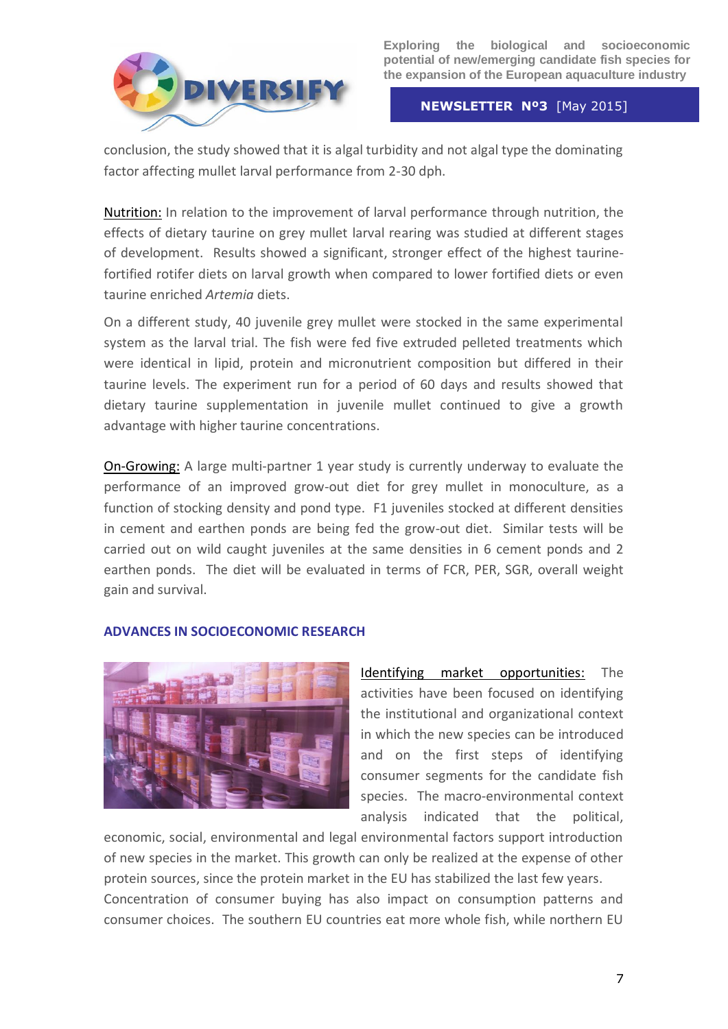

### **NEWSLETTER Nº3** [May 2015]

conclusion, the study showed that it is algal turbidity and not algal type the dominating factor affecting mullet larval performance from 2-30 dph.

Nutrition: In relation to the improvement of larval performance through nutrition, the effects of dietary taurine on grey mullet larval rearing was studied at different stages of development. Results showed a significant, stronger effect of the highest taurinefortified rotifer diets on larval growth when compared to lower fortified diets or even taurine enriched *Artemia* diets.

On a different study, 40 juvenile grey mullet were stocked in the same experimental system as the larval trial. The fish were fed five extruded pelleted treatments which were identical in lipid, protein and micronutrient composition but differed in their taurine levels. The experiment run for a period of 60 days and results showed that dietary taurine supplementation in juvenile mullet continued to give a growth advantage with higher taurine concentrations.

On-Growing: A large multi-partner 1 year study is currently underway to evaluate the performance of an improved grow-out diet for grey mullet in monoculture, as a function of stocking density and pond type. F1 juveniles stocked at different densities in cement and earthen ponds are being fed the grow-out diet. Similar tests will be carried out on wild caught juveniles at the same densities in 6 cement ponds and 2 earthen ponds. The diet will be evaluated in terms of FCR, PER, SGR, overall weight gain and survival.

## **ADVANCES IN SOCIOECONOMIC RESEARCH**



Identifying market opportunities: The activities have been focused on identifying the institutional and organizational context in which the new species can be introduced and on the first steps of identifying consumer segments for the candidate fish species. The macro-environmental context analysis indicated that the political,

economic, social, environmental and legal environmental factors support introduction of new species in the market. This growth can only be realized at the expense of other protein sources, since the protein market in the EU has stabilized the last few years. Concentration of consumer buying has also impact on consumption patterns and consumer choices. The southern EU countries eat more whole fish, while northern EU